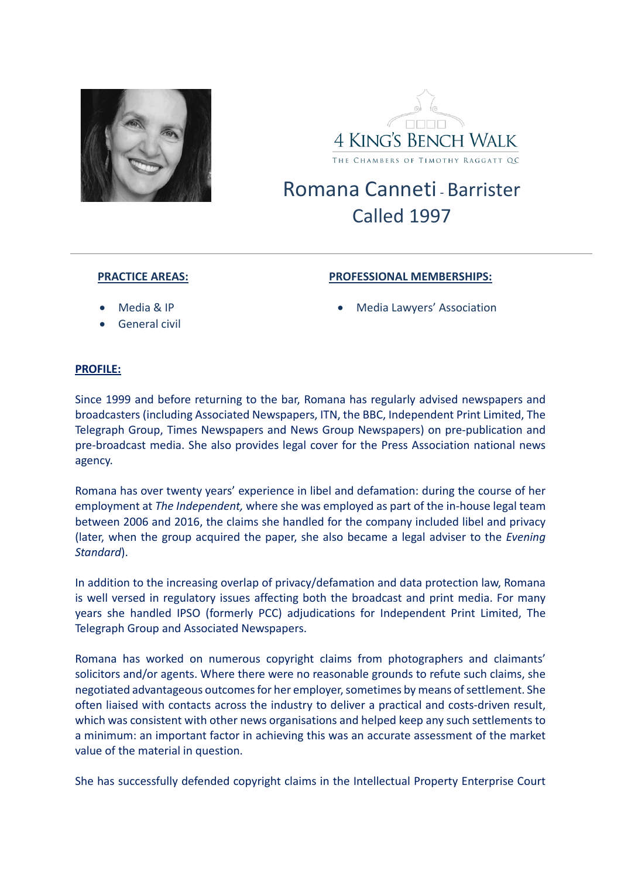



## Romana Canneti, Barrister Called 1997

## **PRACTICE AREAS:**

## **PROFESSIONAL MEMBERSHIPS:**

- Media & IP
- General civil

• Media Lawyers' Association

## **PROFILE:**

Since 1999 and before returning to the bar, Romana has regularly advised newspapers and broadcasters (including Associated Newspapers, ITN, the BBC, Independent Print Limited, The Telegraph Group, Times Newspapers and News Group Newspapers) on pre-publication and pre-broadcast media. She also provides legal cover for the Press Association national news agency.

Romana has over twenty years' experience in libel and defamation: during the course of her employment at *The Independent,* where she was employed as part of the in-house legal team between 2006 and 2016, the claims she handled for the company included libel and privacy (later, when the group acquired the paper, she also became a legal adviser to the *Evening Standard*).

In addition to the increasing overlap of privacy/defamation and data protection law, Romana is well versed in regulatory issues affecting both the broadcast and print media. For many years she handled IPSO (formerly PCC) adjudications for Independent Print Limited, The Telegraph Group and Associated Newspapers.

Romana has worked on numerous copyright claims from photographers and claimants' solicitors and/or agents. Where there were no reasonable grounds to refute such claims, she negotiated advantageous outcomes for her employer, sometimes by means of settlement. She often liaised with contacts across the industry to deliver a practical and costs-driven result, which was consistent with other news organisations and helped keep any such settlements to a minimum: an important factor in achieving this was an accurate assessment of the market value of the material in question.

She has successfully defended copyright claims in the Intellectual Property Enterprise Court